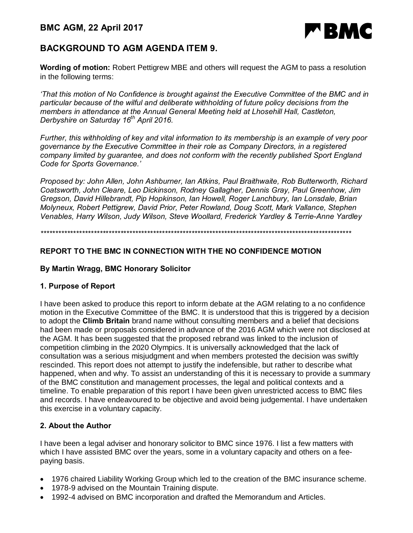

# **BACKGROUND TO AGM AGENDA ITEM 9.**

**Wording of motion:** Robert Pettigrew MBE and others will request the AGM to pass a resolution in the following terms:

*'That this motion of No Confidence is brought against the Executive Committee of the BMC and in particular because of the wilful and deliberate withholding of future policy decisions from the members in attendance at the Annual General Meeting held at Lhosehill Hall, Castleton, Derbyshire on Saturday 16th April 2016.*

*Further, this withholding of key and vital information to its membership is an example of very poor governance by the Executive Committee in their role as Company Directors, in a registered company limited by guarantee, and does not conform with the recently published Sport England Code for Sports Governance.'*

*Proposed by: John Allen, John Ashburner, Ian Atkins, Paul Braithwaite, Rob Butterworth, Richard Coatsworth, John Cleare, Leo Dickinson, Rodney Gallagher, Dennis Gray, Paul Greenhow, Jim Gregson, David Hillebrandt, Pip Hopkinson, Ian Howell, Roger Lanchbury, Ian Lonsdale, Brian Molyneux, Robert Pettigrew, David Prior, Peter Rowland, Doug Scott, Mark Vallance, Stephen Venables, Harry Wilson, Judy Wilson, Steve Woollard, Frederick Yardley & Terrie-Anne Yardley*

*\*\*\*\*\*\*\*\*\*\*\*\*\*\*\*\*\*\*\*\*\*\*\*\*\*\*\*\*\*\*\*\*\*\*\*\*\*\*\*\*\*\*\*\*\*\*\*\*\*\*\*\*\*\*\*\*\*\*\*\*\*\*\*\*\*\*\*\*\*\*\*\*\*\*\*\*\*\*\*\*\*\*\*\*\*\*\*\*\*\*\*\*\*\*\*\*\*\*\*\*\*\*\*\*\**

### **REPORT TO THE BMC IN CONNECTION WITH THE NO CONFIDENCE MOTION**

### **By Martin Wragg, BMC Honorary Solicitor**

### **1. Purpose of Report**

I have been asked to produce this report to inform debate at the AGM relating to a no confidence motion in the Executive Committee of the BMC. It is understood that this is triggered by a decision to adopt the **Climb Britain** brand name without consulting members and a belief that decisions had been made or proposals considered in advance of the 2016 AGM which were not disclosed at the AGM. It has been suggested that the proposed rebrand was linked to the inclusion of competition climbing in the 2020 Olympics. It is universally acknowledged that the lack of consultation was a serious misjudgment and when members protested the decision was swiftly rescinded. This report does not attempt to justify the indefensible, but rather to describe what happened, when and why. To assist an understanding of this it is necessary to provide a summary of the BMC constitution and management processes, the legal and political contexts and a timeline. To enable preparation of this report I have been given unrestricted access to BMC files and records. I have endeavoured to be objective and avoid being judgemental. I have undertaken this exercise in a voluntary capacity.

### **2. About the Author**

I have been a legal adviser and honorary solicitor to BMC since 1976. I list a few matters with which I have assisted BMC over the years, some in a voluntary capacity and others on a feepaying basis.

- · 1976 chaired Liability Working Group which led to the creation of the BMC insurance scheme.
- · 1978-9 advised on the Mountain Training dispute.
- · 1992-4 advised on BMC incorporation and drafted the Memorandum and Articles.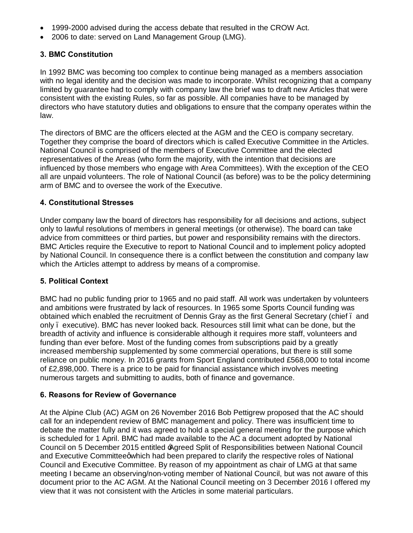- · 1999-2000 advised during the access debate that resulted in the CROW Act.
- · 2006 to date: served on Land Management Group (LMG).

### **3. BMC Constitution**

In 1992 BMC was becoming too complex to continue being managed as a members association with no legal identity and the decision was made to incorporate. Whilst recognizing that a company limited by guarantee had to comply with company law the brief was to draft new Articles that were consistent with the existing Rules, so far as possible. All companies have to be managed by directors who have statutory duties and obligations to ensure that the company operates within the law.

The directors of BMC are the officers elected at the AGM and the CEO is company secretary. Together they comprise the board of directors which is called Executive Committee in the Articles. National Council is comprised of the members of Executive Committee and the elected representatives of the Areas (who form the majority, with the intention that decisions are influenced by those members who engage with Area Committees). With the exception of the CEO all are unpaid volunteers. The role of National Council (as before) was to be the policy determining arm of BMC and to oversee the work of the Executive.

#### **4. Constitutional Stresses**

Under company law the board of directors has responsibility for all decisions and actions, subject only to lawful resolutions of members in general meetings (or otherwise). The board can take advice from committees or third parties, but power and responsibility remains with the directors. BMC Articles require the Executive to report to National Council and to implement policy adopted by National Council. In consequence there is a conflict between the constitution and company law which the Articles attempt to address by means of a compromise.

#### **5. Political Context**

BMC had no public funding prior to 1965 and no paid staff. All work was undertaken by volunteers and ambitions were frustrated by lack of resources. In 1965 some Sports Council funding was obtained which enabled the recruitment of Dennis Gray as the first General Secretary (chief – and only – executive). BMC has never looked back. Resources still limit what can be done, but the breadth of activity and influence is considerable although it requires more staff, volunteers and funding than ever before. Most of the funding comes from subscriptions paid by a greatly increased membership supplemented by some commercial operations, but there is still some reliance on public money. In 2016 grants from Sport England contributed £568,000 to total income of £2,898,000. There is a price to be paid for financial assistance which involves meeting numerous targets and submitting to audits, both of finance and governance.

#### **6. Reasons for Review of Governance**

At the Alpine Club (AC) AGM on 26 November 2016 Bob Pettigrew proposed that the AC should call for an independent review of BMC management and policy. There was insufficient time to debate the matter fully and it was agreed to hold a special general meeting for the purpose which is scheduled for 1 April. BMC had made available to the AC a document adopted by National Council on 5 December 2015 entitled 'Agreed Split of Responsibilities between National Council and Executive Committeegwhich had been prepared to clarify the respective roles of National Council and Executive Committee. By reason of my appointment as chair of LMG at that same meeting I became an observing/non-voting member of National Council, but was not aware of this document prior to the AC AGM. At the National Council meeting on 3 December 2016 I offered my view that it was not consistent with the Articles in some material particulars.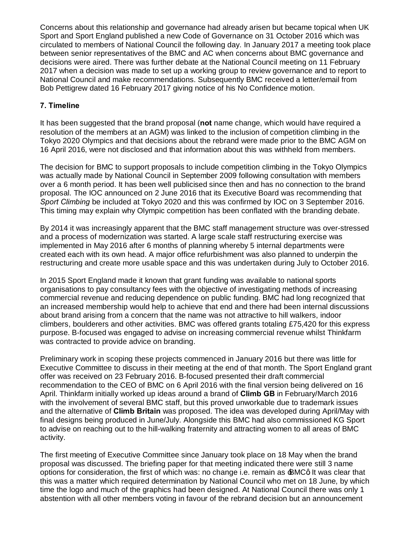Concerns about this relationship and governance had already arisen but became topical when UK Sport and Sport England published a new Code of Governance on 31 October 2016 which was circulated to members of National Council the following day. In January 2017 a meeting took place between senior representatives of the BMC and AC when concerns about BMC governance and decisions were aired. There was further debate at the National Council meeting on 11 February 2017 when a decision was made to set up a working group to review governance and to report to National Council and make recommendations. Subsequently BMC received a letter/email from Bob Pettigrew dated 16 February 2017 giving notice of his No Confidence motion.

### **7. Timeline**

It has been suggested that the brand proposal (**not** name change, which would have required a resolution of the members at an AGM) was linked to the inclusion of competition climbing in the Tokyo 2020 Olympics and that decisions about the rebrand were made prior to the BMC AGM on 16 April 2016, were not disclosed and that information about this was withheld from members.

The decision for BMC to support proposals to include competition climbing in the Tokyo Olympics was actually made by National Council in September 2009 following consultation with members over a 6 month period. It has been well publicised since then and has no connection to the brand proposal. The IOC announced on 2 June 2016 that its Executive Board was recommending that *Sport Climbing* be included at Tokyo 2020 and this was confirmed by IOC on 3 September 2016. This timing may explain why Olympic competition has been conflated with the branding debate.

By 2014 it was increasingly apparent that the BMC staff management structure was over-stressed and a process of modernization was started. A large scale staff restructuring exercise was implemented in May 2016 after 6 months of planning whereby 5 internal departments were created each with its own head. A major office refurbishment was also planned to underpin the restructuring and create more usable space and this was undertaken during July to October 2016.

In 2015 Sport England made it known that grant funding was available to national sports organisations to pay consultancy fees with the objective of investigating methods of increasing commercial revenue and reducing dependence on public funding. BMC had long recognized that an increased membership would help to achieve that end and there had been internal discussions about brand arising from a concern that the name was not attractive to hill walkers, indoor climbers, boulderers and other activities. BMC was offered grants totaling £75,420 for this express purpose. B-focused was engaged to advise on increasing commercial revenue whilst Thinkfarm was contracted to provide advice on branding.

Preliminary work in scoping these projects commenced in January 2016 but there was little for Executive Committee to discuss in their meeting at the end of that month. The Sport England grant offer was received on 23 February 2016. B-focused presented their draft commercial recommendation to the CEO of BMC on 6 April 2016 with the final version being delivered on 16 April. Thinkfarm initially worked up ideas around a brand of **Climb GB** in February/March 2016 with the involvement of several BMC staff, but this proved unworkable due to trademark issues and the alternative of **Climb Britain** was proposed. The idea was developed during April/May with final designs being produced in June/July. Alongside this BMC had also commissioned KG Sport to advise on reaching out to the hill-walking fraternity and attracting women to all areas of BMC activity.

The first meeting of Executive Committee since January took place on 18 May when the brand proposal was discussed. The briefing paper for that meeting indicated there were still 3 name options for consideration, the first of which was: no change i.e. remain as  $\pm$ MCq It was clear that this was a matter which required determination by National Council who met on 18 June, by which time the logo and much of the graphics had been designed. At National Council there was only 1 abstention with all other members voting in favour of the rebrand decision but an announcement